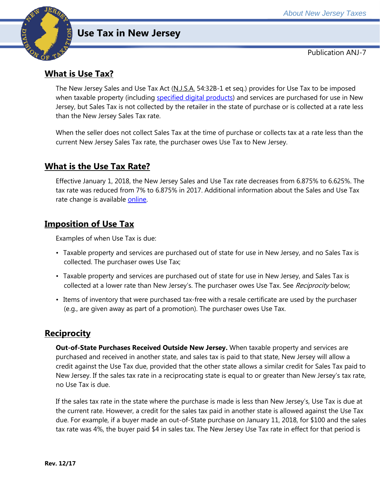

# **Use Tax in New Jersey**

Publication ANJ-7

## **What is Use Tax?**

The New Jersey Sales and Use Tax Act (N.J.S.A. 54:32B-1 et seq.) provides for Use Tax to be imposed when taxable property (including [specified digital products\)](http://www.state.nj.us/treasury/taxation/pdf/pubs/sales/anj27.pdf) and services are purchased for use in New Jersey, but Sales Tax is not collected by the retailer in the state of purchase or is collected at a rate less than the New Jersey Sales Tax rate.

When the seller does not collect Sales Tax at the time of purchase or collects tax at a rate less than the current New Jersey Sales Tax rate, the purchaser owes Use Tax to New Jersey.

### **What is the Use Tax Rate?**

Effective January 1, 2018, the New Jersey Sales and Use Tax rate decreases from 6.875% to 6.625%. The tax rate was reduced from 7% to 6.875% in 2017. Additional information about the Sales and Use Tax rate change is available [online.](http://www.state.nj.us/treasury/taxation/ratechange/su-overview.shtml)

### **Imposition of Use Tax**

Examples of when Use Tax is due:

- Taxable property and services are purchased out of state for use in New Jersey, and no Sales Tax is collected. The purchaser owes Use Tax;
- Taxable property and services are purchased out of state for use in New Jersey, and Sales Tax is collected at a lower rate than New Jersey's. The purchaser owes Use Tax. See Reciprocity below;
- Items of inventory that were purchased tax-free with a resale certificate are used by the purchaser (e.g., are given away as part of a promotion). The purchaser owes Use Tax.

### **Reciprocity**

**Out-of-State Purchases Received Outside New Jersey.** When taxable property and services are purchased and received in another state, and sales tax is paid to that state, New Jersey will allow a credit against the Use Tax due, provided that the other state allows a similar credit for Sales Tax paid to New Jersey. If the sales tax rate in a reciprocating state is equal to or greater than New Jersey's tax rate, no Use Tax is due.

If the sales tax rate in the state where the purchase is made is less than New Jersey's, Use Tax is due at the current rate. However, a credit for the sales tax paid in another state is allowed against the Use Tax due. For example, if a buyer made an out-of-State purchase on January 11, 2018, for \$100 and the sales tax rate was 4%, the buyer paid \$4 in sales tax. The New Jersey Use Tax rate in effect for that period is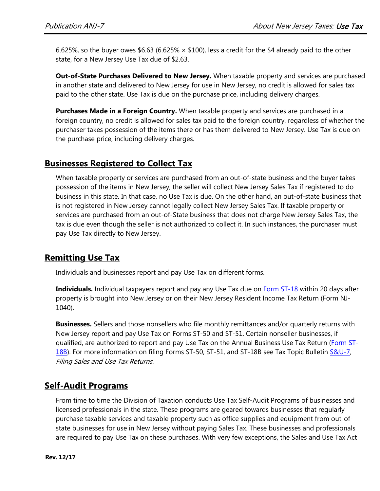6.625%, so the buyer owes \$6.63 (6.625%  $\times$  \$100), less a credit for the \$4 already paid to the other state, for a New Jersey Use Tax due of \$2.63.

**Out-of-State Purchases Delivered to New Jersey.** When taxable property and services are purchased in another state and delivered to New Jersey for use in New Jersey, no credit is allowed for sales tax paid to the other state. Use Tax is due on the purchase price, including delivery charges.

**Purchases Made in a Foreign Country.** When taxable property and services are purchased in a foreign country, no credit is allowed for sales tax paid to the foreign country, regardless of whether the purchaser takes possession of the items there or has them delivered to New Jersey. Use Tax is due on the purchase price, including delivery charges.

### **Businesses Registered to Collect Tax**

When taxable property or services are purchased from an out-of-state business and the buyer takes possession of the items in New Jersey, the seller will collect New Jersey Sales Tax if registered to do business in this state. In that case, no Use Tax is due. On the other hand, an out-of-state business that is not registered in New Jersey cannot legally collect New Jersey Sales Tax. If taxable property or services are purchased from an out-of-State business that does not charge New Jersey Sales Tax, the tax is due even though the seller is not authorized to collect it. In such instances, the purchaser must pay Use Tax directly to New Jersey.

### **Remitting Use Tax**

Individuals and businesses report and pay Use Tax on different forms.

**Individuals.** Individual taxpayers report and pay any Use Tax due on **Form ST-18** within 20 days after property is brought into New Jersey or on their New Jersey Resident Income Tax Return (Form NJ-1040).

**Businesses.** Sellers and those nonsellers who file monthly remittances and/or quarterly returns with New Jersey report and pay Use Tax on Forms ST-50 and ST-51. Certain nonseller businesses, if qualified, are authorized to report and pay Use Tax on the Annual Business Use Tax Return [\(Form ST-](http://www.state.nj.us/treasury/taxation/pdf/other_forms/sales/st18b.pdf)[18B\)](http://www.state.nj.us/treasury/taxation/pdf/other_forms/sales/st18b.pdf). For more information on filing Forms ST-50, ST-51, and ST-18B see Tax Topic Bulletin S&U-7, Filing Sales and Use Tax Returns.

### **Self-Audit Programs**

From time to time the Division of Taxation conducts Use Tax Self-Audit Programs of businesses and licensed professionals in the state. These programs are geared towards businesses that regularly purchase taxable services and taxable property such as office supplies and equipment from out-ofstate businesses for use in New Jersey without paying Sales Tax. These businesses and professionals are required to pay Use Tax on these purchases. With very few exceptions, the Sales and Use Tax Act